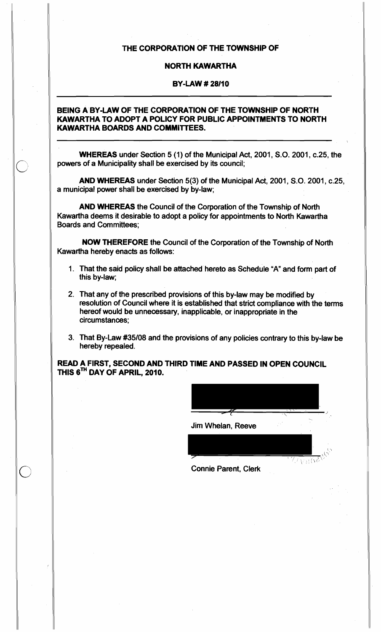# THE CORPORATION OF THE TOWNSHIP OF

## NORTH KAWARTHA

## BY-LAW # 28110

## BEING A BY-LAW OF THE CORPORATION OF THE TOWNSHIP OF NORTH KAWARTHA TO ADOPT A POLICY FOR PUBLIC APPOINTMENTS TO NORTH KAWARTHA BOARDS AND COMMITTEES.

WHEREAS under Section 5 (1) of the Municipal Act, 2001, S.O. 2001, c.25, the powers of a Municipality shall be exercised by its council;

AND WHEREAS under Section 5(3) of the Municipal Act, 2001, 5.0. 2001, c.25, a municipal power shall be exercised by by-law;

AND WHEREAS the Council of the Corporation of the Township of North Kawartha deems it desirable to adopt a policy for appointments to North Kawartha Boards and Committees;

NOW THEREFORE the Council of the Corporation of the Township of North Kawartha hereby enacts as follows:

- 1. That the said policy shall be attached hereto as Schedule "A" and form part of this by-law;
- 2. That any of the prescribed provisions of this by-law may be modified by resolution of Council where it is established that strict compliance with the terms hereof would be unnecessary, inapplicable, or inappropriate in the circumstances;
- 3. That By-Law *#35/08* and the provisions of any policies contrary to this by-law be hereby repealed.

READ A FIRST, SECOND AND THIRD TIME AND PASSED IN OPEN COUNCIL THIS 6TH DAY OF APRIL, 2010.

o

|                   | $\cdot$ $\sim$ |       |
|-------------------|----------------|-------|
| Jim Whelan, Reeve |                |       |
|                   |                |       |
| へしん<br>ia Darant  | 77             | ਜਨਨਾਵ |

Connie Parent, Clerk